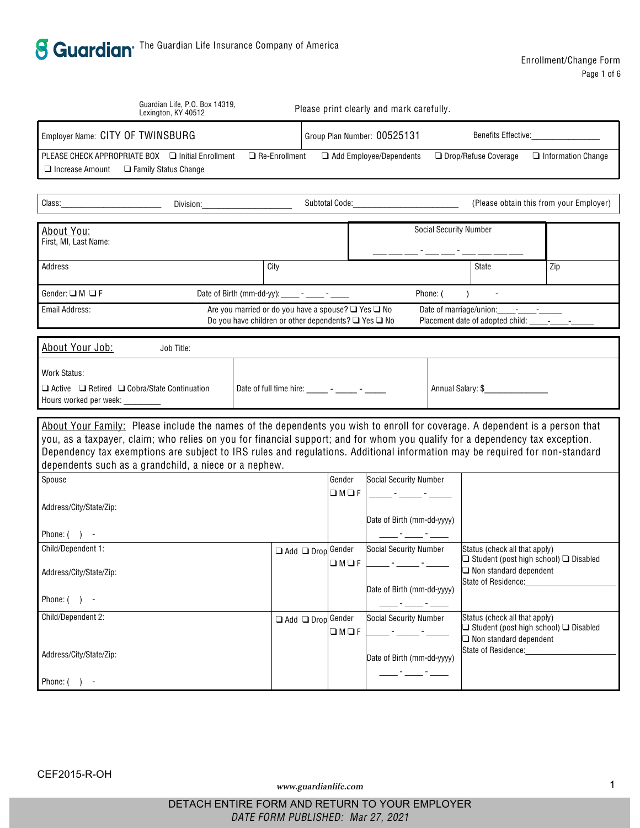| Guardian Life, P.O. Box 14319,<br>Lexington, KY 40512                                                                                                                                                                                                                                                                                                                                                                                               |               | Please print clearly and mark carefully.                                                                                                                                                                                                                                                                                                                                                                              |                               |                                                                                                              |                                         |  |
|-----------------------------------------------------------------------------------------------------------------------------------------------------------------------------------------------------------------------------------------------------------------------------------------------------------------------------------------------------------------------------------------------------------------------------------------------------|---------------|-----------------------------------------------------------------------------------------------------------------------------------------------------------------------------------------------------------------------------------------------------------------------------------------------------------------------------------------------------------------------------------------------------------------------|-------------------------------|--------------------------------------------------------------------------------------------------------------|-----------------------------------------|--|
| Employer Name: CITY OF TWINSBURG                                                                                                                                                                                                                                                                                                                                                                                                                    |               | Group Plan Number: 00525131                                                                                                                                                                                                                                                                                                                                                                                           |                               | Benefits Effective:                                                                                          |                                         |  |
| PLEASE CHECK APPROPRIATE BOX<br><b>Initial Enrollment</b><br><b>Family Status Change</b><br>Increase Amount                                                                                                                                                                                                                                                                                                                                         | Re-Enrollment | Add Employee/Dependents                                                                                                                                                                                                                                                                                                                                                                                               |                               | Drop/Refuse Coverage                                                                                         | <b>Information Change</b>               |  |
| Class:<br>Division:<br><u> 1990 - Johann Barbara, martin a</u>                                                                                                                                                                                                                                                                                                                                                                                      |               | Subtotal Code: The Contract of Subtotal Code:                                                                                                                                                                                                                                                                                                                                                                         |                               |                                                                                                              | (Please obtain this from your Employer) |  |
| About You:<br>First, MI, Last Name:                                                                                                                                                                                                                                                                                                                                                                                                                 |               |                                                                                                                                                                                                                                                                                                                                                                                                                       | <b>Social Security Number</b> |                                                                                                              |                                         |  |
| City<br>Address                                                                                                                                                                                                                                                                                                                                                                                                                                     |               |                                                                                                                                                                                                                                                                                                                                                                                                                       |                               | State                                                                                                        | Zip                                     |  |
| F<br>M<br>Date of Birth (mm-dd-yy): ______ - _____ - ______<br>Gender:                                                                                                                                                                                                                                                                                                                                                                              |               |                                                                                                                                                                                                                                                                                                                                                                                                                       | Phone: (                      |                                                                                                              |                                         |  |
| Email Address:<br>Are you married or do you have a spouse?<br>Do you have children or other dependents?                                                                                                                                                                                                                                                                                                                                             |               | Yes<br>No<br>Yes<br>No                                                                                                                                                                                                                                                                                                                                                                                                | Date of marriage/union:       | $\mathcal{L}^{\mathcal{L}}$ and $\mathcal{L}^{\mathcal{L}}$ and $\mathcal{L}^{\mathcal{L}}$                  |                                         |  |
| About Your Job:<br>Job Title:                                                                                                                                                                                                                                                                                                                                                                                                                       |               |                                                                                                                                                                                                                                                                                                                                                                                                                       |                               |                                                                                                              |                                         |  |
| <b>Work Status:</b><br>Cobra/State Continuation<br>Active<br>Retired<br>Hours worked per week:                                                                                                                                                                                                                                                                                                                                                      |               | Date of full time hire: $\frac{1}{\sqrt{1-\frac{1}{2}}}\cdot\frac{1}{\sqrt{1-\frac{1}{2}}}\cdot\frac{1}{\sqrt{1-\frac{1}{2}}}\cdot\frac{1}{\sqrt{1-\frac{1}{2}}}\cdot\frac{1}{\sqrt{1-\frac{1}{2}}}\cdot\frac{1}{\sqrt{1-\frac{1}{2}}}\cdot\frac{1}{\sqrt{1-\frac{1}{2}}}\cdot\frac{1}{\sqrt{1-\frac{1}{2}}}\cdot\frac{1}{\sqrt{1-\frac{1}{2}}}\cdot\frac{1}{\sqrt{1-\frac{1}{2}}}\cdot\frac{1}{\sqrt{1-\frac{1}{2}}$ |                               | Annual Salary: \$                                                                                            |                                         |  |
| About Your Family: Please include the names of the dependents you wish to enroll for coverage. A dependent is a person that<br>you, as a taxpayer, claim; who relies on you for financial support; and for whom you qualify for a dependency tax exception.<br>Dependency tax exemptions are subject to IRS rules and regulations. Additional information may be required for non-standard<br>dependents such as a grandchild, a niece or a nephew. |               |                                                                                                                                                                                                                                                                                                                                                                                                                       |                               |                                                                                                              |                                         |  |
| Spouse<br>Address/City/State/Zip:                                                                                                                                                                                                                                                                                                                                                                                                                   |               | Social Security Number<br>Gender<br>M F<br>Date of Birth (mm-dd-yyyy)                                                                                                                                                                                                                                                                                                                                                 |                               |                                                                                                              |                                         |  |
| Phone: ( ) -<br>Child/Dependent 1:                                                                                                                                                                                                                                                                                                                                                                                                                  |               | Social Security Number                                                                                                                                                                                                                                                                                                                                                                                                |                               | Status (check all that apply)                                                                                |                                         |  |
| Address/City/State/Zip:                                                                                                                                                                                                                                                                                                                                                                                                                             | Add           | Drop Gender<br>$M$ F<br>Date of Birth (mm-dd-yyyy)                                                                                                                                                                                                                                                                                                                                                                    |                               | Student (post high school)<br>Non standard dependent<br>State of Residence:                                  | <b>Disabled</b>                         |  |
| Phone: $( )$ -                                                                                                                                                                                                                                                                                                                                                                                                                                      |               |                                                                                                                                                                                                                                                                                                                                                                                                                       |                               |                                                                                                              |                                         |  |
| Child/Dependent 2:<br>Address/City/State/Zip:                                                                                                                                                                                                                                                                                                                                                                                                       | Add           | Drop Gender<br><b>Social Security Number</b><br>$M$ F<br>Date of Birth (mm-dd-yyyy)                                                                                                                                                                                                                                                                                                                                   |                               | Status (check all that apply)<br>Student (post high school)<br>Non standard dependent<br>State of Residence: | <b>Disabled</b>                         |  |
| Phone: $( )$ -                                                                                                                                                                                                                                                                                                                                                                                                                                      |               |                                                                                                                                                                                                                                                                                                                                                                                                                       |                               |                                                                                                              |                                         |  |

www.guardianlife.com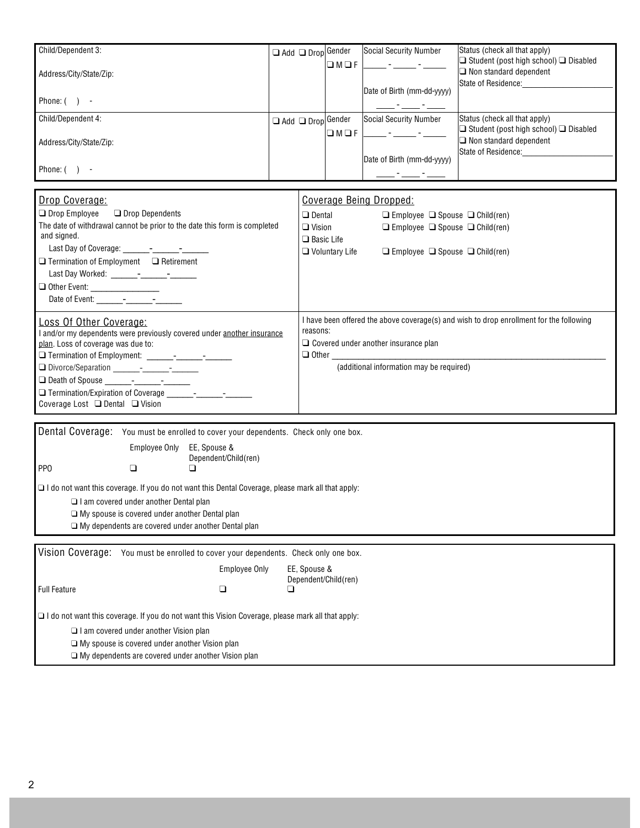| Child/Dependent 3:      | Add | Drop Gender | Social Security Number     | Status (check all that apply)                                           |  |
|-------------------------|-----|-------------|----------------------------|-------------------------------------------------------------------------|--|
| Address/City/State/Zip: |     | M           |                            | Student (post high school)<br><b>Disabled</b><br>Non standard dependent |  |
|                         |     |             | Date of Birth (mm-dd-yyyy) | State of Residence:                                                     |  |
| Phone: $( )$ -          |     |             |                            |                                                                         |  |
| Child/Dependent 4:      | Add | Drop Gender | Social Security Number     | Status (check all that apply)                                           |  |
| Address/City/State/Zip: |     | M           |                            | <b>Disabled</b><br>Student (post high school)<br>Non standard dependent |  |
|                         |     |             | Date of Birth (mm-dd-yyyy) | State of Residence:                                                     |  |
| Phone: (                |     |             |                            |                                                                         |  |

| Drop Coverage:                                                                                                                        | Coverage Being Dropped:                                                                                                                                                                                                                                                            |                                          |        |                                                                                         |
|---------------------------------------------------------------------------------------------------------------------------------------|------------------------------------------------------------------------------------------------------------------------------------------------------------------------------------------------------------------------------------------------------------------------------------|------------------------------------------|--------|-----------------------------------------------------------------------------------------|
| Drop Employee Drop Dependents                                                                                                         | Dental                                                                                                                                                                                                                                                                             | Employee                                 | Spouse | Child(ren)                                                                              |
| The date of withdrawal cannot be prior to the date this form is completed<br>and signed.                                              | Vision<br><b>Basic Life</b>                                                                                                                                                                                                                                                        | Employee                                 | Spouse | Child(ren)                                                                              |
| Termination of Employment Retirement                                                                                                  | <b>Voluntary Life</b>                                                                                                                                                                                                                                                              | Employee                                 | Spouse | Child(ren)                                                                              |
| Other Event: ____________________<br>Date of Event: - - -                                                                             |                                                                                                                                                                                                                                                                                    |                                          |        |                                                                                         |
| Loss Of Other Coverage:<br>and/or my dependents were previously covered under another insurance<br>plan. Loss of coverage was due to: | reasons:<br>Covered under another insurance plan<br>Other than the contract of the contract of the contract of the contract of the contract of the contract of the contract of the contract of the contract of the contract of the contract of the contract of the contract of the |                                          |        | I have been offered the above coverage(s) and wish to drop enrollment for the following |
| Coverage Lost Dental<br>Vision                                                                                                        |                                                                                                                                                                                                                                                                                    | (additional information may be required) |        |                                                                                         |

Dental Coverage: You must be enrolled to cover your dependents. Check only one box.

Employee Only EE, Spouse & Dependent/Child(ren)

PP<sub>0</sub>

I do not want this coverage. If you do not want this Dental Coverage, please mark all that apply:

I am covered under another Dental plan

My spouse is covered under another Dental plan

My dependents are covered under another Dental plan

Vision Coverage: You must be enrolled to cover your dependents. Check only one box.

Employee Only EE, Spouse & Dependent/Child(ren)

Full Feature

I do not want this coverage. If you do not want this Vision Coverage, please mark all that apply:

I am covered under another Vision plan

My spouse is covered under another Vision plan

My dependents are covered under another Vision plan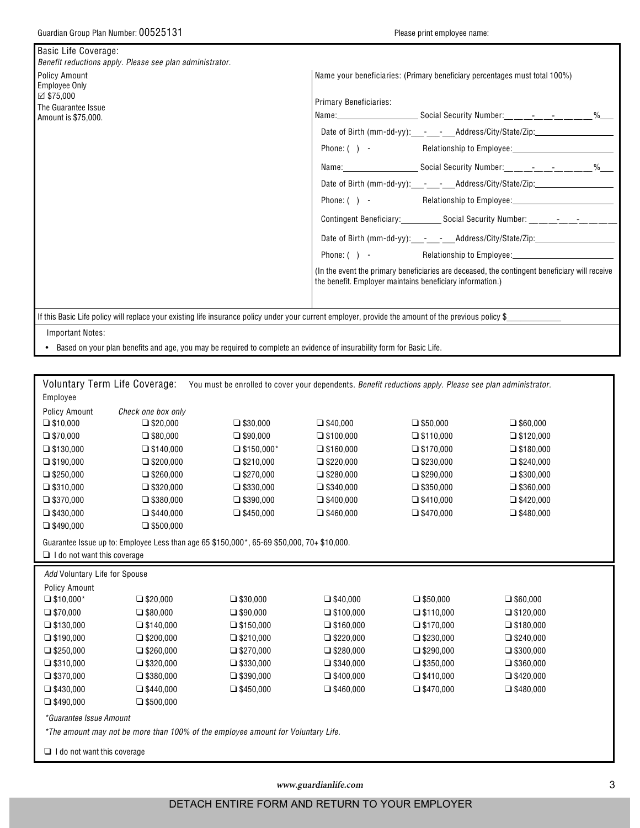| Basic Life Coverage:<br>Benefit reductions apply. Please see plan administrator.                                   |                                                                                                                                                                                                                                                                                                                                                                                                                                                                                                                                                                                                                                                                                                                                                                                |
|--------------------------------------------------------------------------------------------------------------------|--------------------------------------------------------------------------------------------------------------------------------------------------------------------------------------------------------------------------------------------------------------------------------------------------------------------------------------------------------------------------------------------------------------------------------------------------------------------------------------------------------------------------------------------------------------------------------------------------------------------------------------------------------------------------------------------------------------------------------------------------------------------------------|
| <b>Policy Amount</b><br><b>Employee Only</b><br>$\boxtimes$ \$75,000<br>The Guarantee Issue<br>Amount is \$75,000. | Name your beneficiaries: (Primary beneficiary percentages must total 100%)<br><b>Primary Beneficiaries:</b><br>Date of Birth (mm-dd-yy):___-__________Address/City/State/Zip:__________________<br>Date of Birth (mm-dd-yy):___-__________Address/City/State/Zip:__________________<br>Phone: () - Relationship to Employee: Relationship to Employee:<br>Contingent Beneficiary:_______________Social Security Number: __________________<br>Date of Birth (mm-dd-yy):____-____-__Address/City/State/Zip:____________________<br>Phone: ( ) - Relationship to Employee: Manuscription Relationship to Employee:<br>(In the event the primary beneficiaries are deceased, the contingent beneficiary will receive<br>the benefit. Employer maintains beneficiary information.) |
| <b>Important Notes:</b>                                                                                            | If this Basic Life policy will replace your existing life insurance policy under your current employer, provide the amount of the previous policy \$                                                                                                                                                                                                                                                                                                                                                                                                                                                                                                                                                                                                                           |
|                                                                                                                    |                                                                                                                                                                                                                                                                                                                                                                                                                                                                                                                                                                                                                                                                                                                                                                                |

. Based on your plan benefits and age, you may be required to complete an evidence of insurability form for Basic Life.

|                               | Voluntary Term Life Coverage:                                                              |            |           | You must be enrolled to cover your dependents. Benefit reductions apply. Please see plan administrator. |           |  |
|-------------------------------|--------------------------------------------------------------------------------------------|------------|-----------|---------------------------------------------------------------------------------------------------------|-----------|--|
| Employee                      |                                                                                            |            |           |                                                                                                         |           |  |
| <b>Policy Amount</b>          | Check one box only                                                                         |            |           |                                                                                                         |           |  |
| \$10,000                      | \$20,000                                                                                   | \$30,000   | \$40,000  | \$50,000                                                                                                | \$60,000  |  |
| \$70,000                      | \$80,000                                                                                   | \$90.000   | \$100,000 | \$110,000                                                                                               | \$120,000 |  |
| \$130,000                     | \$140,000                                                                                  | \$150,000* | \$160,000 | \$170,000                                                                                               | \$180,000 |  |
| \$190,000                     | \$200,000                                                                                  | \$210,000  | \$220,000 | \$230,000                                                                                               | \$240,000 |  |
| \$250,000                     | \$260,000                                                                                  | \$270,000  | \$280,000 | \$290,000                                                                                               | \$300,000 |  |
| \$310,000                     | \$320,000                                                                                  | \$330,000  | \$340,000 | \$350,000                                                                                               | \$360,000 |  |
| \$370,000                     | \$380,000                                                                                  | \$390,000  | \$400,000 | \$410,000                                                                                               | \$420,000 |  |
| \$430,000                     | \$440,000                                                                                  | \$450,000  | \$460,000 | \$470,000                                                                                               | \$480,000 |  |
| \$490,000                     | \$500,000                                                                                  |            |           |                                                                                                         |           |  |
|                               | Guarantee Issue up to: Employee Less than age 65 \$150,000*, 65-69 \$50,000, 70+ \$10,000. |            |           |                                                                                                         |           |  |
| I do not want this coverage   |                                                                                            |            |           |                                                                                                         |           |  |
| Add Voluntary Life for Spouse |                                                                                            |            |           |                                                                                                         |           |  |
| Policy Amount                 |                                                                                            |            |           |                                                                                                         |           |  |
|                               |                                                                                            |            |           |                                                                                                         |           |  |
| \$10,000*                     | \$20,000                                                                                   | \$30,000   | \$40,000  | \$50,000                                                                                                | \$60,000  |  |
| \$70,000                      | \$80,000                                                                                   | \$90,000   | \$100,000 | \$110,000                                                                                               | \$120,000 |  |
| \$130,000                     | \$140,000                                                                                  | \$150,000  | \$160,000 | \$170,000                                                                                               | \$180,000 |  |
| \$190,000                     | \$200,000                                                                                  | \$210,000  | \$220,000 | \$230,000                                                                                               | \$240,000 |  |
| \$250,000                     | \$260,000                                                                                  | \$270,000  | \$280,000 | \$290,000                                                                                               | \$300,000 |  |
| \$310,000                     | \$320,000                                                                                  | \$330,000  | \$340,000 | \$350,000                                                                                               | \$360,000 |  |
| \$370,000                     | \$380,000                                                                                  | \$390,000  | \$400,000 | \$410,000                                                                                               | \$420,000 |  |
| \$430,000                     | \$440,000                                                                                  | \$450,000  | \$460,000 | \$470,000                                                                                               | \$480,000 |  |
| \$490,000                     | \$500,000                                                                                  |            |           |                                                                                                         |           |  |
| *Guarantee Issue Amount       |                                                                                            |            |           |                                                                                                         |           |  |
|                               | *The amount may not be more than 100% of the employee amount for Voluntary Life.           |            |           |                                                                                                         |           |  |

www.guardianlife.com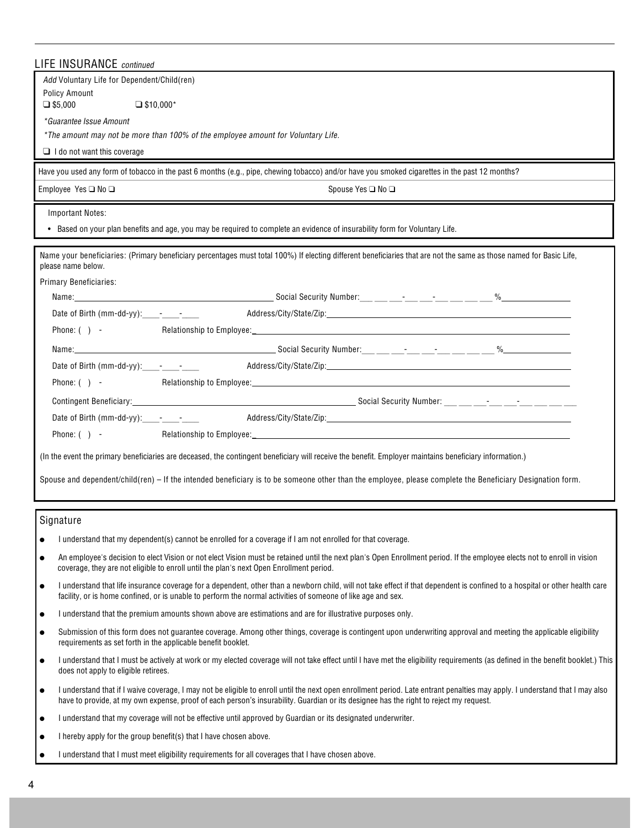| <b>LIFE INSURANCE</b> continued                                                                                                                                                                                                                                                                                       |
|-----------------------------------------------------------------------------------------------------------------------------------------------------------------------------------------------------------------------------------------------------------------------------------------------------------------------|
| Add Voluntary Life for Dependent/Child(ren)                                                                                                                                                                                                                                                                           |
| <b>Policy Amount</b><br>\$5,000<br>$$10,000*$                                                                                                                                                                                                                                                                         |
| *Guarantee Issue Amount                                                                                                                                                                                                                                                                                               |
| *The amount may not be more than 100% of the employee amount for Voluntary Life.                                                                                                                                                                                                                                      |
| I do not want this coverage                                                                                                                                                                                                                                                                                           |
| Have you used any form of tobacco in the past 6 months (e.g., pipe, chewing tobacco) and/or have you smoked cigarettes in the past 12 months?                                                                                                                                                                         |
| Employee Yes No<br>Spouse Yes No                                                                                                                                                                                                                                                                                      |
| <b>Important Notes:</b>                                                                                                                                                                                                                                                                                               |
| . Based on your plan benefits and age, you may be required to complete an evidence of insurability form for Voluntary Life.                                                                                                                                                                                           |
| Name your beneficiaries: (Primary beneficiary percentages must total 100%) If electing different beneficiaries that are not the same as those named for Basic Life,<br>please name below.                                                                                                                             |
| Primary Beneficiaries:                                                                                                                                                                                                                                                                                                |
|                                                                                                                                                                                                                                                                                                                       |
| Date of Birth (mm-dd-yy): $-$ - $-$                                                                                                                                                                                                                                                                                   |
|                                                                                                                                                                                                                                                                                                                       |
|                                                                                                                                                                                                                                                                                                                       |
|                                                                                                                                                                                                                                                                                                                       |
| Phone: $( )$ -                                                                                                                                                                                                                                                                                                        |
|                                                                                                                                                                                                                                                                                                                       |
|                                                                                                                                                                                                                                                                                                                       |
| Phone: $( )$ -                                                                                                                                                                                                                                                                                                        |
| (In the event the primary beneficiaries are deceased, the contingent beneficiary will receive the benefit. Employer maintains beneficiary information.)                                                                                                                                                               |
| Spouse and dependent/child(ren) - If the intended beneficiary is to be someone other than the employee, please complete the Beneficiary Designation form.                                                                                                                                                             |
| Signature                                                                                                                                                                                                                                                                                                             |
| I understand that my dependent(s) cannot be enrolled for a coverage if I am not enrolled for that coverage.                                                                                                                                                                                                           |
| An employee's decision to elect Vision or not elect Vision must be retained until the next plan's Open Enrollment period. If the employee elects not to enroll in vision<br>coverage, they are not eligible to enroll until the plan's next Open Enrollment period.                                                   |
| I understand that life insurance coverage for a dependent, other than a newborn child, will not take effect if that dependent is confined to a hospital or other health care<br>facility, or is home confined, or is unable to perform the normal activities of someone of like age and sex.                          |
| I understand that the premium amounts shown above are estimations and are for illustrative purposes only.                                                                                                                                                                                                             |
| Submission of this form does not quarantee coverage. Among other things, coverage is contingent upon underwriting approval and meeting the applicable eligibility<br>requirements as set forth in the applicable benefit booklet.                                                                                     |
| I understand that I must be actively at work or my elected coverage will not take effect until I have met the eligibility requirements (as defined in the benefit booklet.) This<br>does not apply to eligible retirees.                                                                                              |
| I understand that if I waive coverage, I may not be eligible to enroll until the next open enrollment period. Late entrant penalties may apply. I understand that I may also<br>have to provide, at my own expense, proof of each person's insurability. Guardian or its designee has the right to reject my request. |
| I understand that my coverage will not be effective until approved by Guardian or its designated underwriter.                                                                                                                                                                                                         |

I hereby apply for the group benefit(s) that I have chosen above.

I understand that I must meet eligibility requirements for all coverages that I have chosen above.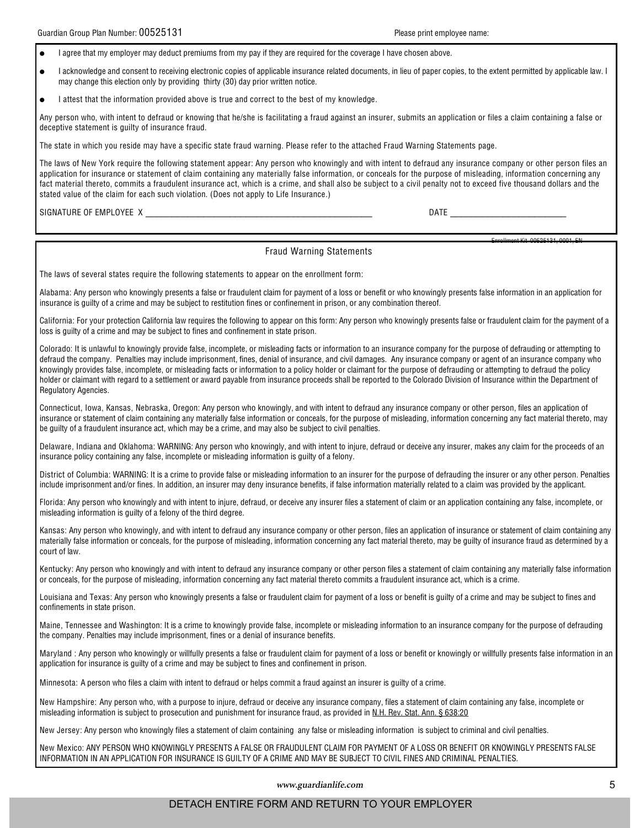Enrollment Vit, 00626121, 0001, EN

I agree that my employer may deduct premiums from my pay if they are required for the coverage I have chosen above.

I acknowledge and consent to receiving electronic copies of applicable insurance related documents, in lieu of paper copies, to the extent permitted by applicable law. I may change this election only by providing thirty (30) day prior written notice.

I attest that the information provided above is true and correct to the best of my knowledge.

Any person who, with intent to defraud or knowing that he/she is facilitating a fraud against an insurer, submits an application or files a claim containing a false or deceptive statement is guilty of insurance fraud.

The state in which you reside may have a specific state fraud warning. Please refer to the attached Fraud Warning Statements page.

The laws of New York require the following statement appear: Any person who knowingly and with intent to defraud any insurance company or other person files an application for insurance or statement of claim containing any materially false information, or conceals for the purpose of misleading, information concerning any fact material thereto, commits a fraudulent insurance act, which is a crime, and shall also be subject to a civil penalty not to exceed five thousand dollars and the stated value of the claim for each such violation. (Does not apply to Life Insurance.)

SIGNATURE OF EMPLOYEE X

## **Fraud Warning Statements**

The laws of several states require the following statements to appear on the enrollment form:

Alabama: Any person who knowingly presents a false or fraudulent claim for payment of a loss or benefit or who knowingly presents false information in an application for insurance is quilty of a crime and may be subject to restitution fines or confinement in prison, or any combination thereof.

California: For your protection California law requires the following to appear on this form: Any person who knowingly presents false or fraudulent claim for the payment of a loss is guilty of a crime and may be subject to fines and confinement in state prison.

Colorado: It is unlawful to knowingly provide false, incomplete, or misleading facts or information to an insurance company for the purpose of defrauding or attempting to defraud the company. Penalties may include imprisonment, fines, denial of insurance, and civil damages. Any insurance company or agent of an insurance company who knowingly provides false, incomplete, or misleading facts or information to a policy holder or claimant for the purpose of defrauding or attempting to defraud the policy holder or claimant with regard to a settlement or award payable from insurance proceeds shall be reported to the Colorado Division of Insurance within the Department of Regulatory Agencies.

Connecticut, Iowa, Kansas, Nebraska, Oregon: Any person who knowingly, and with intent to defraud any insurance company or other person, files an application of insurance or statement of claim containing any materially false information or conceals, for the purpose of misleading, information concerning any fact material thereto, may be quilty of a fraudulent insurance act, which may be a crime, and may also be subject to civil penalties.

Delaware, Indiana and Oklahoma: WARNING: Any person who knowingly, and with intent to injure, defraud or deceive any insurer, makes any claim for the proceeds of an insurance policy containing any false, incomplete or misleading information is guilty of a felony.

District of Columbia: WARNING: It is a crime to provide false or misleading information to an insurer for the purpose of defrauding the insurer or any other person. Penalties include imprisonment and/or fines. In addition, an insurer may deny insurance benefits, if false information materially related to a claim was provided by the applicant.

Florida: Any person who knowingly and with intent to injure, defraud, or deceive any insurer files a statement of claim or an application containing any false, incomplete, or misleading information is guilty of a felony of the third degree.

Kansas: Any person who knowingly, and with intent to defraud any insurance company or other person, files an application of insurance or statement of claim containing any materially false information or conceals, for the purpose of misleading, information concerning any fact material thereto, may be guilty of insurance fraud as determined by a court of law.

Kentucky: Any person who knowingly and with intent to defraud any insurance company or other person files a statement of claim containing any materially false information or conceals, for the purpose of misleading, information concerning any fact material thereto commits a fraudulent insurance act, which is a crime.

Louisiana and Texas: Any person who knowingly presents a false or fraudulent claim for payment of a loss or benefit is quilty of a crime and may be subject to fines and confinements in state prison.

Maine, Tennessee and Washington: It is a crime to knowingly provide false, incomplete or misleading information to an insurance company for the purpose of defrauding the company. Penalties may include imprisonment, fines or a denial of insurance benefits.

Maryland: Any person who knowingly or willfully presents a false or fraudulent claim for payment of a loss or benefit or knowingly or willfully presents false information in an application for insurance is guilty of a crime and may be subject to fines and confinement in prison.

Minnesota: A person who files a claim with intent to defraud or helps commit a fraud against an insurer is guilty of a crime.

New Hampshire: Any person who, with a purpose to injure, defraud or deceive any insurance company, files a statement of claim containing any false, incomplete or misleading information is subject to prosecution and punishment for insurance fraud, as provided in N.H. Rev. Stat. Ann. § 638:20

New Jersey: Any person who knowingly files a statement of claim containing any false or misleading information is subject to criminal and civil penalties.

New Mexico: ANY PERSON WHO KNOWINGLY PRESENTS A FALSE OR FRAUDULENT CLAIM FOR PAYMENT OF A LOSS OR BENEFIT OR KNOWINGLY PRESENTS FALSE INFORMATION IN AN APPLICATION FOR INSURANCE IS GUILTY OF A CRIME AND MAY BE SUBJECT TO CIVIL FINES AND CRIMINAL PENALTIES.

www.guardianlife.com